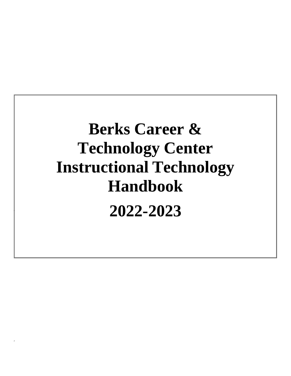# **Berks Career & Technology Center Instructional Technology Handbook 2022-2023**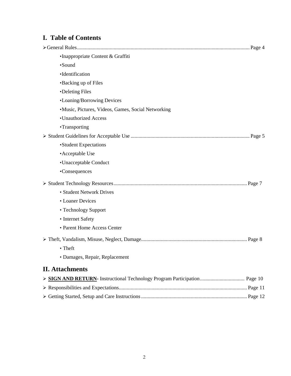# **I. Table of Contents**

| ·Inappropriate Content & Graffiti                  |
|----------------------------------------------------|
| ·Sound                                             |
| ·Identification                                    |
| •Backing up of Files                               |
| •Deleting Files                                    |
| •Loaning/Borrowing Devices                         |
| ·Music, Pictures, Videos, Games, Social Networking |
| •Unauthorized Access                               |
| •Transporting                                      |
|                                                    |
| •Student Expectations                              |
| • Acceptable Use                                   |
| •Unacceptable Conduct                              |
| •Consequences                                      |
|                                                    |
| • Student Network Drives                           |
| • Loaner Devices                                   |
| • Technology Support                               |
| • Internet Safety                                  |
| • Parent Home Access Center                        |
|                                                    |
| • Theft                                            |
| · Damages, Repair, Replacement                     |
| <b>II.</b> Attachments                             |
|                                                    |
|                                                    |
|                                                    |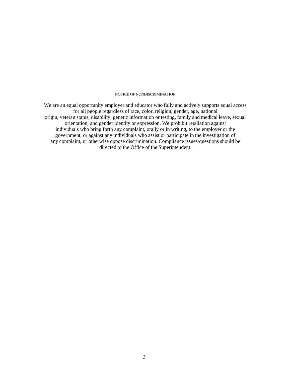#### NOTICE OF NONDISCRIMINATION

We are an equal opportunity employer and educator who fully and actively supports equal access for all people regardless of race, color, religion, gender, age, national origin, veteran status, disability, genetic information or testing, family and medical leave, sexual orientation, and gender identity or expression. We prohibit retaliation against individuals who bring forth any complaint, orally or in writing, to the employer or the government, or against any individuals who assist or participate in the investigation of any complaint, or otherwise oppose discrimination. Compliance issues/questions should be directed to the Office of the Superintendent.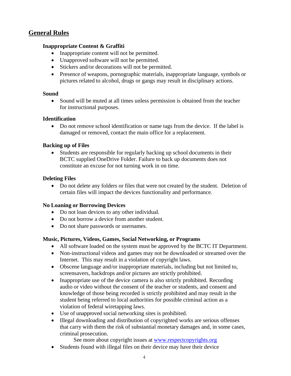## **General Rules**

## **Inappropriate Content & Graffiti**

- Inappropriate content will not be permitted.
- Unapproved software will not be permitted.
- Stickers and/or decorations will not be permitted.
- Presence of weapons, pornographic materials, inappropriate language, symbols or pictures related to alcohol, drugs or gangs may result in disciplinary actions.

## **Sound**

• Sound will be muted at all times unless permission is obtained from the teacher for instructional purposes.

## **Identification**

• Do not remove school identification or name tags from the device. If the label is damaged or removed, contact the main office for a replacement.

## **Backing up of Files**

• Students are responsible for regularly backing up school documents in their BCTC supplied OneDrive Folder. Failure to back up documents does not constitute an excuse for not turning work in on time.

## **Deleting Files**

• Do not delete any folders or files that were not created by the student. Deletion of certain files will impact the devices functionality and performance.

## **No Loaning or Borrowing Devices**

- Do not loan devices to any other individual.
- Do not borrow a device from another student.
- Do not share passwords or usernames.

## **Music, Pictures, Videos, Games, Social Networking, or Programs**

- All software loaded on the system must be approved by the BCTC IT Department.
- Non-instructional videos and games may not be downloaded or streamed over the Internet. This may result in a violation of copyright laws.
- Obscene language and/or inappropriate materials, including but not limited to, screensavers, backdrops and/or pictures are strictly prohibited.
- Inappropriate use of the device camera is also strictly prohibited. Recording audio or video without the consent of the teacher or students, and consent and knowledge of those being recorded is strictly prohibited and may result in the student being referred to local authorities for possible criminal action as a violation of federal wiretapping laws.
- Use of unapproved social networking sites is prohibited.
- Illegal downloading and distribution of copyrighted works are serious offenses that carry with them the risk of substantial monetary damages and, in some cases, criminal prosecution.
	- See more about copyright issues at [www.respectcopyrights.org](http://www.respectcopyrights.org/)
- Students found with illegal files on their device may have their device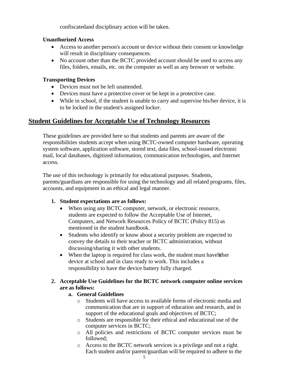confiscatedand disciplinary action will be taken.

## **Unauthorized Access**

- Access to another person's account or device without their consent or knowledge will result in disciplinary consequences.
- No account other than the BCTC provided account should be used to access any files, folders, emails, etc. on the computer as well as any browser or website.

## **Transporting Devices**

- Devices must not be left unattended.
- Devices must have a protective cover or be kept in a protective case.
- While in school, if the student is unable to carry and supervise his/her device, it is to be locked in the student's assigned locker.

# **Student Guidelines for Acceptable Use of Technology Resources**

These guidelines are provided here so that students and parents are aware of the responsibilities students accept when using BCTC-owned computer hardware, operating system software, application software, stored text, data files, school-issued electronic mail, local databases, digitized information, communication technologies, and Internet access*.*

The use of this technology is primarily for educational purposes. Students, parents/guardians are responsible for using the technology and all related programs, files, accounts, and equipment in an ethical and legal manner.

## **1. Student expectations are as follows:**

- When using any BCTC computer, network, or electronic resource, students are expected to follow the Acceptable Use of Internet, Computers, and Network Resources Policy of BCTC (Policy 815) as mentioned in the student handbook.
- Students who identify or know about a security problem are expected to convey the details to their teacher or BCTC administration, without discussing/sharing it with other students.
- When the laptop is required for class work, the student must have higher device at school and in class ready to work. This includes a responsibility to have the device battery fully charged.

## **2. Acceptable Use Guidelines for the BCTC network computer online services are as follows:**

## **a. General Guidelines**

- o Students will have access to available forms of electronic media and communication that are in support of education and research, and in support of the educational goals and objectives of BCTC;
- o Students are responsible for their ethical and educational use of the computer services in BCTC;
- o All policies and restrictions of BCTC computer services must be followed;
- o Access to the BCTC network services is a privilege and not a right. Each student and/or parent/guardian will be required to adhere to the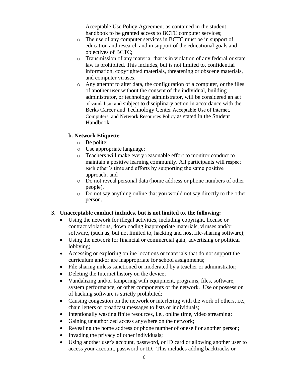Acceptable Use Policy Agreement as contained in the student handbook to be granted access to BCTC computer services;

- o The use of any computer services in BCTC must be in support of education and research and in support of the educational goals and objectives of BCTC;
- o Transmission of any material that is in violation of any federal or state law is prohibited. This includes, but is not limited to, confidential information, copyrighted materials, threatening or obscene materials, and computer viruses.
- o Any attempt to alter data, the configuration of a computer, or the files of another user without the consent of the individual, building administrator, or technology administrator, will be considered an act of vandalism and subject to disciplinary action in accordance with the Berks Career and Technology Center Acceptable Use of Internet, Computers, and Network Resources Policy as stated in the Student Handbook.

## **b. Network Etiquette**

- o Be polite;
- o Use appropriate language;
- o Teachers will make every reasonable effort to monitor conduct to maintain a positive learning community. All participants will respect each other's time and efforts by supporting the same positive approach; and
- o Do not reveal personal data (home address or phone numbers of other people).
- o Do not say anything online that you would not say directly to the other person.

## **3. Unacceptable conduct includes, but is not limited to, the following:**

- Using the network for illegal activities, including copyright, license or contract violations, downloading inappropriate materials, viruses and/or software, (such as, but not limited to, hacking and host file-sharing software);
- Using the network for financial or commercial gain, advertising or political lobbying;
- Accessing or exploring online locations or materials that do not support the curriculum and/or are inappropriate for school assignments;
- File sharing unless sanctioned or moderated by a teacher or administrator;
- Deleting the Internet history on the device;
- Vandalizing and/or tampering with equipment, programs, files, software, system performance, or other components of the network. Use or possession of hacking software is strictly prohibited;
- Causing congestion on the network or interfering with the work of others, i.e., chain letters or broadcast messages to lists or individuals;
- Intentionally wasting finite resources, i.e., online time, video streaming;
- Gaining unauthorized access anywhere on the network;
- Revealing the home address or phone number of oneself or another person;
- Invading the privacy of other individuals;
- Using another user's account, password, or ID card or allowing another user to access your account, password or ID. This includes adding backtracks or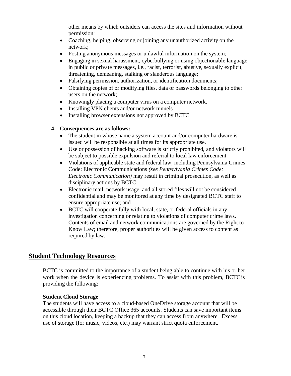other means by which outsiders can access the sites and information without permission;

- Coaching, helping, observing or joining any unauthorized activity on the network;
- Posting anonymous messages or unlawful information on the system;
- Engaging in sexual harassment, cyberbullying or using objectionable language in public or private messages, i.e., racist, terrorist, abusive, sexually explicit, threatening, demeaning, stalking or slanderous language;
- Falsifying permission, authorization, or identification documents;
- Obtaining copies of or modifying files, data or passwords belonging to other users on the network;
- Knowingly placing a computer virus on a computer network.
- Installing VPN clients and/or network tunnels
- Installing browser extensions not approved by BCTC

## **4. Consequences are as follows:**

- The student in whose name a system account and/or computer hardware is issued will be responsible at all times for its appropriate use.
- Use or possession of hacking software is strictly prohibited, and violators will be subject to possible expulsion and referral to local law enforcement.
- Violations of applicable state and federal law, including Pennsylvania Crimes Code: Electronic Communications *(see Pennsylvania Crimes Code: Electronic Communication)* may result in criminal prosecution, as well as disciplinary actions by BCTC.
- Electronic mail, network usage, and all stored files will not be considered confidential and may be monitored at any time by designated BCTC staff to ensure appropriate use; and
- BCTC will cooperate fully with local, state, or federal officials in any investigation concerning or relating to violations of computer crime laws. Contents of email and network communications are governed by the Right to Know Law; therefore, proper authorities will be given access to content as required by law.

## **Student Technology Resources**

BCTC is committed to the importance of a student being able to continue with his or her work when the device is experiencing problems. To assist with this problem, BCTCis providing the following:

## **Student Cloud Storage**

The students will have access to a cloud-based OneDrive storage account that will be accessible through their BCTC Office 365 accounts. Students can save important items on this cloud location, keeping a backup that they can access from anywhere. Excess use of storage (for music, videos, etc.) may warrant strict quota enforcement.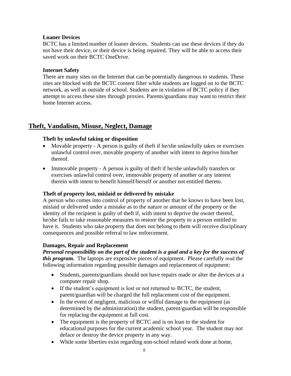## **Loaner Devices**

BCTC has a limited number of loaner devices. Students can use these devices if they do not have their device, or their device is being repaired. They will be able to access their saved work on their BCTC OneDrive.

## **Internet Safety**

There are many sites on the Internet that can be potentially dangerous to students. These sites are blocked with the BCTC content filter while students are logged on to the BCTC network, as well as outside of school. Students are in violation of BCTC policy if they attempt to access these sites through proxies. Parents/guardians may want to restrict their home Internet access.

## **Theft, Vandalism, Misuse, Neglect, Damage**

## **Theft by unlawful taking or disposition**

- Movable property A person is guilty of the ft if he/she unlawfully takes or exercises unlawful control over, movable property of another with intent to deprive him/her thereof.
- Immovable property A person is guilty of the ft if he/she unlawfully transfers or exercises unlawful control over, immovable property of another or any interest therein with intent to benefit himself/herself or another not entitled thereto.

## **Theft of property lost, mislaid or delivered by mistake**

A person who comes into control of property of another that he knows to have been lost, mislaid or delivered under a mistake as to the nature or amount of the property or the identity of the recipient is guilty of theft if, with intent to deprive the owner thereof, he/she fails to take reasonable measures to restore the property to a person entitled to have it. Students who take property that does not belong to them will receive disciplinary consequences and possible referral to law enforcement.

## **Damages, Repair and Replacement**

*Personal responsibility on the part of the student is a goal and a key for the success of this program.* The laptops are expensive pieces of equipment. Please carefully read the following information regarding possible damages and replacement of equipment:

- Students, parents/guardians should not have repairs made or alter the devices at a computer repair shop.
- If the student's equipment is lost or not returned to BCTC, the student, parent/guardian will be charged the full replacement cost of the equipment.
- In the event of negligent, malicious or willful damage to the equipment (as determined by the administration) the student, parent/guardian will be responsible for replacing the equipment at full cost.
- The equipment is the property of BCTC and is on loan to the student for educational purposes for the current academic school year. The student may not deface or destroy the device property in any way.
- While some liberties exist regarding non-school related work done at home,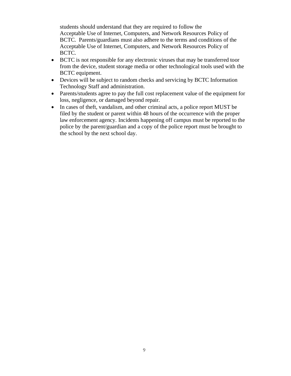students should understand that they are required to follow the Acceptable Use of Internet, Computers, and Network Resources Policy of BCTC. Parents/guardians must also adhere to the terms and conditions of the Acceptable Use of Internet, Computers, and Network Resources Policy of BCTC.

- BCTC is not responsible for any electronic viruses that may be transferred toor from the device, student storage media or other technological tools used with the BCTC equipment.
- Devices will be subject to random checks and servicing by BCTC Information Technology Staff and administration.
- Parents/students agree to pay the full cost replacement value of the equipment for loss, negligence, or damaged beyond repair.
- In cases of theft, vandalism, and other criminal acts, a police report MUST be filed by the student or parent within 48 hours of the occurrence with the proper law enforcement agency. Incidents happening off campus must be reported to the police by the parent/guardian and a copy of the police report must be brought to the school by the next school day.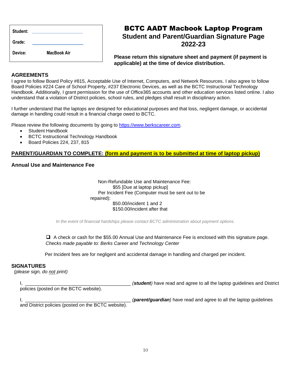| Student: |                    |  |
|----------|--------------------|--|
| Grade:   |                    |  |
| Device:  | <b>MacBook Air</b> |  |

# BCTC AADT Macbook Laptop Program **Student and Parent/Guardian Signature Page 2022-23**

**Please return this signature sheet and payment (if payment is applicable) at the time of device distribution.**

#### **AGREEMENTS**

I agree to follow Board Policy #815, Acceptable Use of Internet, Computers, and Network Resources. I also agree to follow Board Policies #224 Care of School Property, #237 Electronic Devices, as well as the BCTC Instructional Technology Handbook. Additionally, I grant permission for the use of Office365 accounts and other education services listed online. I also understand that a violation of District policies, school rules, and pledges shall result in disciplinary action.

I further understand that the laptops are designed for educational purposes and that loss, negligent damage, or accidental damage in handling could result in a financial charge owed to BCTC.

Please review the following documents by going to [https://www.berkscareer.com.](https://www.berkscareer.com/)

- Student Handbook
- BCTC Instructional Technology Handbook
- Board Policies 224, 237, 815

#### **PARENT/GUARDIAN TO COMPLETE: (form and payment is to be submitted at time of laptop pickup)**

#### **Annual Use and Maintenance Fee**

 Non-Refundable Use and Maintenance Fee: \$55 [Due at laptop pickup] Per Incident Fee (Computer must be sent out to be repaired): \$50.00/incident 1 and 2 \$150.00/incident after that

*In the event of financial hardships please contact BCTC administration about payment options.*

❑ A check or cash for the \$55.00 Annual Use and Maintenance Fee is enclosed with this signature page. *Checks made payable to: Berks Career and Technology Center*

Per Incident fees are for negligent and accidental damage in handling and charged per incident.

#### **SIGNATURES**

 *(please sign, do not print)*

I, the same of the same of the same of the same of the laptop guidelines and District in the laptop guidelines and District

policies (posted on the BCTC website).

I, **I, constructing the set of the set of the set of the laptop guidelines (***parent/guardian***) have read and agree to all the laptop guidelines** 

and District policies (posted on the BCTC website).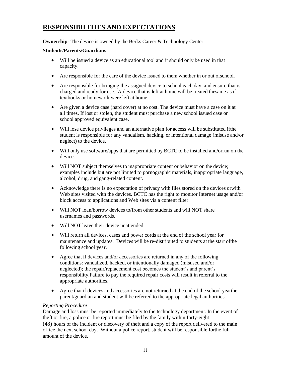# **RESPONSIBILITIES AND EXPECTATIONS**

**Ownership-** The device is owned by the Berks Career & Technology Center.

## **Students/Parents/Guardians**

- Will be issued a device as an educational tool and it should only be used in that capacity.
- Are responsible for the care of the device issued to them whether in or out ofschool.
- Are responsible for bringing the assigned device to school each day, and ensure that is charged and ready for use. A device that is left at home will be treated thesame as if textbooks or homework were left at home.
- Are given a device case (hard cover) at no cost. The device must have a case on it at all times. If lost or stolen, the student must purchase a new school issued case or school approved equivalent case.
- Will lose device privileges and an alternative plan for access will be substituted if the student is responsible for any vandalism, hacking, or intentional damage (misuse and/or neglect) to the device.
- Will only use software/apps that are permitted by BCTC to be installed and/orrun on the device.
- Will NOT subject themselves to inappropriate content or behavior on the device; examples include but are not limited to pornographic materials, inappropriate language, alcohol, drug, and gang-related content.
- Acknowledge there is no expectation of privacy with files stored on the devices orwith Web sites visited with the devices. BCTC has the right to monitor Internet usage and/or block access to applications and Web sites via a content filter.
- Will NOT loan/borrow devices to/from other students and will NOT share usernames and passwords.
- Will NOT leave their device unattended.
- Will return all devices, cases and power cords at the end of the school year for maintenance and updates. Devices will be re-distributed to students at the start ofthe following school year.
- Agree that if devices and/or accessories are returned in any of the following conditions: vandalized, hacked, or intentionally damaged (misused and/or neglected); the repair/replacement cost becomes the student's and parent's responsibility.Failure to pay the required repair costs will result in referral to the appropriate authorities.
- Agree that if devices and accessories are not returned at the end of the school yearthe parent/guardian and student will be referred to the appropriate legal authorities.

## *Reporting Procedure*

Damage and loss must be reported immediately to the technology department. In the event of theft or fire, a police or fire report must be filed by the family within forty-eight (48) hours of the incident or discovery of theft and a copy of the report delivered to the main office the next school day. Without a police report, student will be responsible forthe full amount of the device.